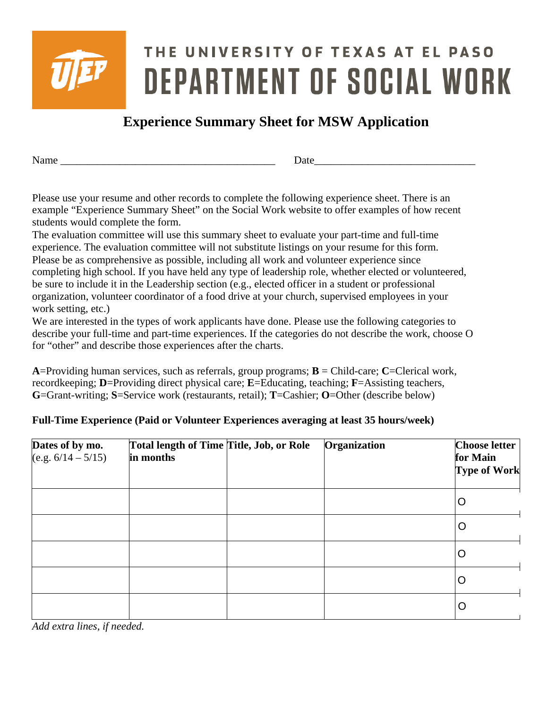

# THE UNIVERSITY OF TEXAS AT EL PASO **DEPARTMENT OF SOCIAL WORK**

## **Experience Summary Sheet for MSW Application**

Name Date

Please use your resume and other records to complete the following experience sheet. There is an example "Experience Summary Sheet" on the Social Work website to offer examples of how recent students would complete the form.

The evaluation committee will use this summary sheet to evaluate your part-time and full-time experience. The evaluation committee will not substitute listings on your resume for this form. Please be as comprehensive as possible, including all work and volunteer experience since completing high school. If you have held any type of leadership role, whether elected or volunteered, be sure to include it in the Leadership section (e.g., elected officer in a student or professional organization, volunteer coordinator of a food drive at your church, supervised employees in your work setting, etc.)

We are interested in the types of work applicants have done. Please use the following categories to describe your full-time and part-time experiences. If the categories do not describe the work, choose O for "other" and describe those experiences after the charts.

**A**=Providing human services, such as referrals, group programs; **B** = Child-care; **C**=Clerical work, recordkeeping; **D**=Providing direct physical care; **E**=Educating, teaching; **F**=Assisting teachers, **G**=Grant-writing; **S**=Service work (restaurants, retail); **T**=Cashier; **O**=Other (describe below)

#### **Full-Time Experience (Paid or Volunteer Experiences averaging at least 35 hours/week)**

| Dates of by mo.<br>$(e.g. 6/14 - 5/15)$ | Total length of Time Title, Job, or Role<br>in months | Organization | <b>Choose letter</b><br>for Main<br><b>Type of Work</b> |
|-----------------------------------------|-------------------------------------------------------|--------------|---------------------------------------------------------|
|                                         |                                                       |              | O                                                       |
|                                         |                                                       |              | Ő                                                       |
|                                         |                                                       |              | O                                                       |
|                                         |                                                       |              | Ő                                                       |
|                                         |                                                       |              | Ő                                                       |

*Add extra lines, if needed.*